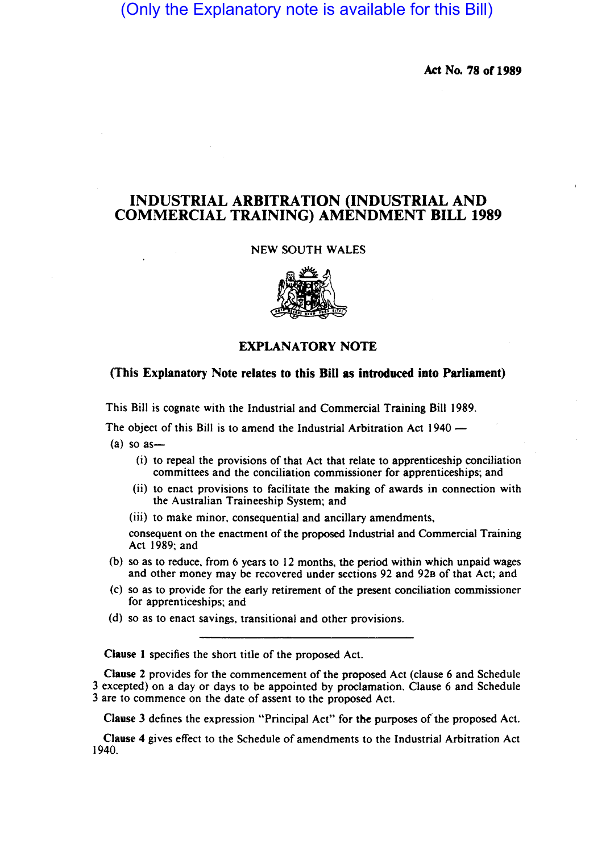# (Only the Explanatory note is available for this Bill)

Act No. 78 of 1989

## INDUSTRIAL ARBITRATION (INDUSTRIAL AND COMMERCIAL TRAINING) AMENDMENT BILL 1989

#### NEW SOUTH WALES



### EXPLANATORY NOTE

#### (This Explanatory Note relates to this Bill as introduced into Parliament)

This Bill is cognate with the Industrial and Commercial Training Bill 1989.

The object of this Bill is to amend the Industrial Arbitration Act 1940 -

- $(a)$  so as
	- (i) to repeal the provisions of that Act that relate to apprenticeship conciliation committees and the conciliation commissioner for apprenticeships; and
	- (ii) to enact provisions to facilitate the making of awards in connection with the Australian Traineeship System; and
	- (iii) to make minor. consequential and ancillary amendments.

consequent on the enactment of the proposed Industrial and Commercial Training Act 1989; and

- (b) so as to reduce. from 6 years to 12 months. the period within which unpaid wages and other money may be recovered under sections 92 and 928 of that Act; and
- (c) so as to provide for the early retirement of the present conciliation commissioner for apprenticeships; and
- (d) so as to enact savings. transitional and other provisions.

Clause 1 specifies the short title of the proposed Act.

Clause 2 provides for the commencement of the proposed Act (clause 6 and Schedule 3 excepted) on a day or days to be appointed by proclamation. Clause 6 and Schedule 3 are to commence on the date of assent to the proposed Act.

Clause 3 defines the expression "Principal Act" for the purposes of'the proposed Act.

Clause 4 gives effect to the Schedule of amendments to the Industrial Arbitration Act 1940.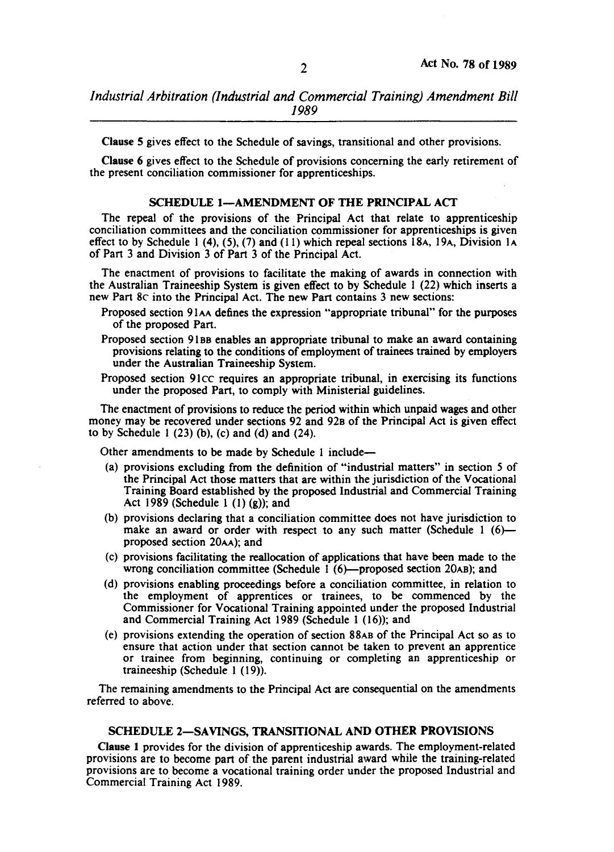Clause 5 gives effect to the Schedule of savings, transitional and other provisions.

Clause 6 gives effect to the Schedule of provisions concerning the early retirement of the present conciliation commissioner for apprenticeships.

#### SCHEDULE 1-AMENDMENT OF THE PRINCIPAL ACT

The repeal of the provisions of the Principal Act that relate to apprenticeship conciliation committees and the conciliation commissioner for apprenticeships is given effect to by Schedule 1 (4), (5), (7) and (11) which repeal sections 18A, 19A, Division 1A of Part 3 and Division 3 of Part 3 of the Principal Act.

The enactment of provisions to facilitate the making of awards in connection with the Australian Traineeship System is given effect to by Schedule 1 (22) which inserts a new Part 8c into the Principal Act. The new Part contains 3 new sections:

- Proposed section 91AA defines the expression "appropriate tribunal" for the purposes of the proposed Part.
- Proposed section 91 BB enables an appropriate tribunal to make an award containing provisions relating to the conditions of employment of trainees trained by employers under the Australian Traineeship System.
- Proposed section 91ec requires an appropriate tribunal, in exercising its functions under the proposed Part, to comply with Ministerial guidelines.

The enactment of provisions to reduce the period within which unpaid wages and other money may be recovered under sections 92 and 92B of the Principal Act is given effect to by Schedule 1 $(23)$  (b),  $(c)$  and  $(d)$  and  $(24)$ .

Other amendments to be made by Schedule 1 include-

- (a) provisions excluding from the definition of "industrial matters" in section 5 of the Principal Act those matters that are within the jurisdiction of the Vocational Training Board established by the proposed Industrial and Commercial Training Act 1989 (Schedule 1  $(1)(g)$ ); and
- (b) provisions declaring that a conciliation committee does not have jurisdiction to make an award or order with respect to any such matter (Schedule  $1$  (6)proposed section 20AA); and
- (c) provisions facilitating the reallocation of applications that have been made to the wrong conciliation committee (Schedule  $1(6)$ —proposed section 20AB); and
- (d) provisions enabling proceedings before a conciliation committee, in relation to the employment of apprentices or trainees, to be commenced by the Commissioner for Vocational Training appointed under the proposed Industrial and Commercial Training Act 1989 (Schedule 1 (16)); and
- (e) provisions extending the operation of section 88AB of the Principal Act so as to ensure that action under that section cannot be taken to prevent an apprentice or trainee from beginning, continuing or completing an apprenticeship or traineeship (Schedule I (19».

The remaining amendments to the Principal Act are consequential on the amendments referred to above.

#### SCHEDULE 2-SAVINGS, TRANSITIONAL AND OTHER PROVISIONS

Clause 1 provides for the division of apprenticeship awards. The employment-related provisions are to become part of the parent industrial award while the training-related provisions are to become a vocational training order under the proposed Industrial and Commercial Training Act 1989.